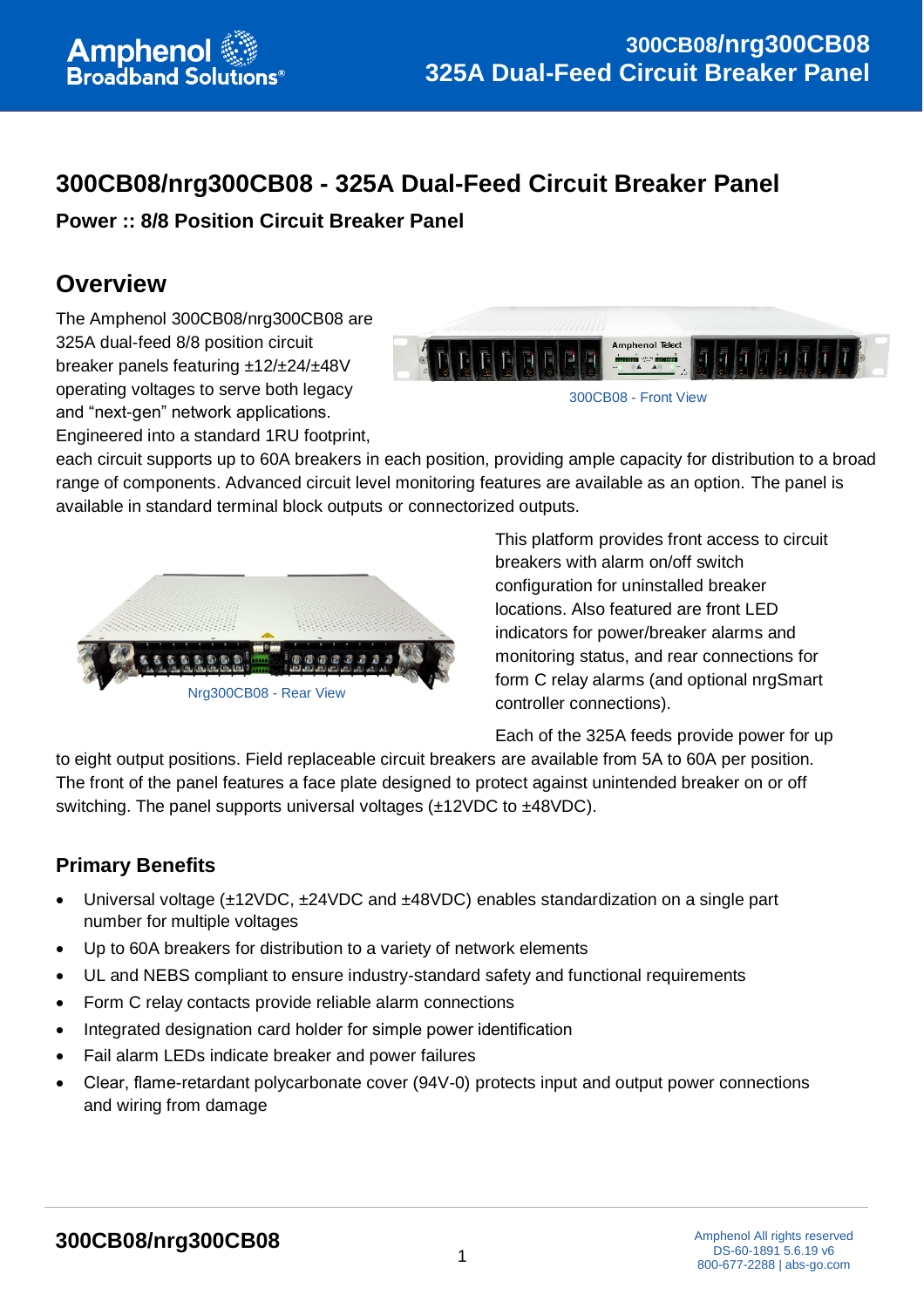# **300CB08/nrg300CB08 - 325A Dual-Feed Circuit Breaker Panel**

**Power :: 8/8 Position Circuit Breaker Panel**

## **Overview**

The Amphenol 300CB08/nrg300CB08 are 325A dual-feed 8/8 position circuit breaker panels featuring ±12/±24/±48V operating voltages to serve both legacy and "next-gen" network applications.



Engineered into a standard 1RU footprint,

each circuit supports up to 60A breakers in each position, providing ample capacity for distribution to a broad range of components. Advanced circuit level monitoring features are available as an option. The panel is available in standard terminal block outputs or connectorized outputs.



This platform provides front access to circuit breakers with alarm on/off switch configuration for uninstalled breaker locations. Also featured are front LED indicators for power/breaker alarms and monitoring status, and rear connections for form C relay alarms (and optional nrgSmart controller connections).

Each of the 325A feeds provide power for up

to eight output positions. Field replaceable circuit breakers are available from 5A to 60A per position. The front of the panel features a face plate designed to protect against unintended breaker on or off switching. The panel supports universal voltages (±12VDC to ±48VDC).

### **Primary Benefits**

- Universal voltage (±12VDC, ±24VDC and ±48VDC) enables standardization on a single part number for multiple voltages
- Up to 60A breakers for distribution to a variety of network elements
- UL and NEBS compliant to ensure industry-standard safety and functional requirements
- Form C relay contacts provide reliable alarm connections
- Integrated designation card holder for simple power identification
- Fail alarm LEDs indicate breaker and power failures
- Clear, flame-retardant polycarbonate cover (94V-0) protects input and output power connections and wiring from damage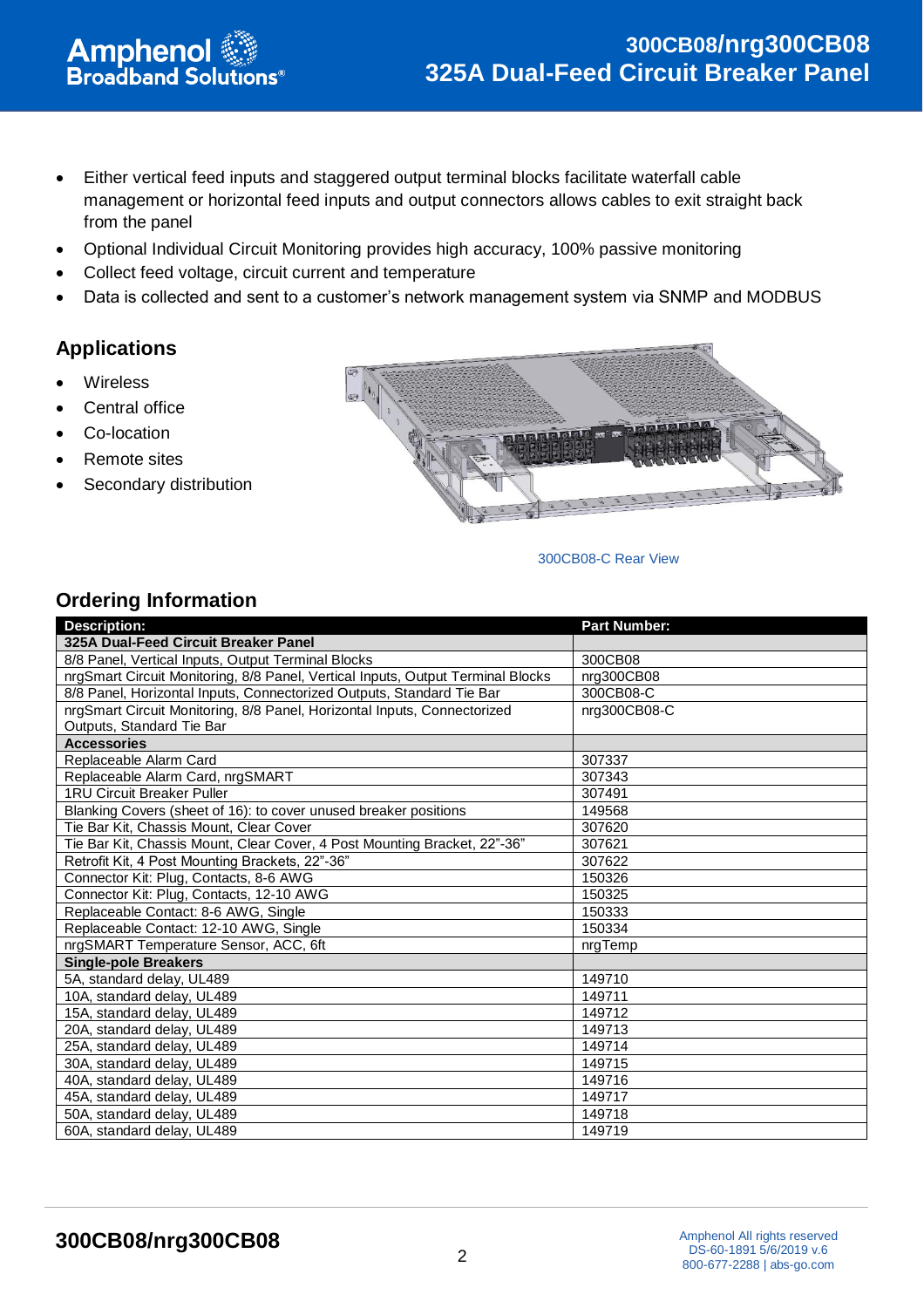- Either vertical feed inputs and staggered output terminal blocks facilitate waterfall cable management or horizontal feed inputs and output connectors allows cables to exit straight back from the panel
- Optional Individual Circuit Monitoring provides high accuracy, 100% passive monitoring
- Collect feed voltage, circuit current and temperature
- Data is collected and sent to a customer's network management system via SNMP and MODBUS

#### **Applications**

- **Wireless**
- Central office
- Co-location
- Remote sites
- Secondary distribution

**Amphenol**<br>Broadband Solutions<sup>®</sup>



#### 300CB08-C Rear View

#### **Ordering Information**

| <b>Description:</b>                                                             | <b>Part Number:</b> |
|---------------------------------------------------------------------------------|---------------------|
| 325A Dual-Feed Circuit Breaker Panel                                            |                     |
| 8/8 Panel, Vertical Inputs, Output Terminal Blocks                              | 300CB08             |
| nrgSmart Circuit Monitoring, 8/8 Panel, Vertical Inputs, Output Terminal Blocks | nrg300CB08          |
| 8/8 Panel, Horizontal Inputs, Connectorized Outputs, Standard Tie Bar           | 300CB08-C           |
| nrgSmart Circuit Monitoring, 8/8 Panel, Horizontal Inputs, Connectorized        | nrg300CB08-C        |
| Outputs, Standard Tie Bar                                                       |                     |
| <b>Accessories</b>                                                              |                     |
| Replaceable Alarm Card                                                          | 307337              |
| Replaceable Alarm Card, nrgSMART                                                | 307343              |
| <b>1RU Circuit Breaker Puller</b>                                               | 307491              |
| Blanking Covers (sheet of 16): to cover unused breaker positions                | 149568              |
| Tie Bar Kit, Chassis Mount, Clear Cover                                         | 307620              |
| Tie Bar Kit, Chassis Mount, Clear Cover, 4 Post Mounting Bracket, 22"-36"       | 307621              |
| Retrofit Kit, 4 Post Mounting Brackets, 22"-36"                                 | 307622              |
| Connector Kit: Plug, Contacts, 8-6 AWG                                          | 150326              |
| Connector Kit: Plug, Contacts, 12-10 AWG                                        | 150325              |
| Replaceable Contact: 8-6 AWG, Single                                            | 150333              |
| Replaceable Contact: 12-10 AWG, Single                                          | 150334              |
| nrgSMART Temperature Sensor, ACC, 6ft                                           | nrgTemp             |
| <b>Single-pole Breakers</b>                                                     |                     |
| 5A, standard delay, UL489                                                       | 149710              |
| 10A, standard delay, UL489                                                      | 149711              |
| 15A, standard delay, UL489                                                      | 149712              |
| 20A, standard delay, UL489                                                      | 149713              |
| 25A, standard delay, UL489                                                      | 149714              |
| 30A, standard delay, UL489                                                      | 149715              |
| 40A, standard delay, UL489                                                      | 149716              |
| 45A, standard delay, UL489                                                      | 149717              |
| 50A, standard delay, UL489                                                      | 149718              |
| 60A, standard delay, UL489                                                      | 149719              |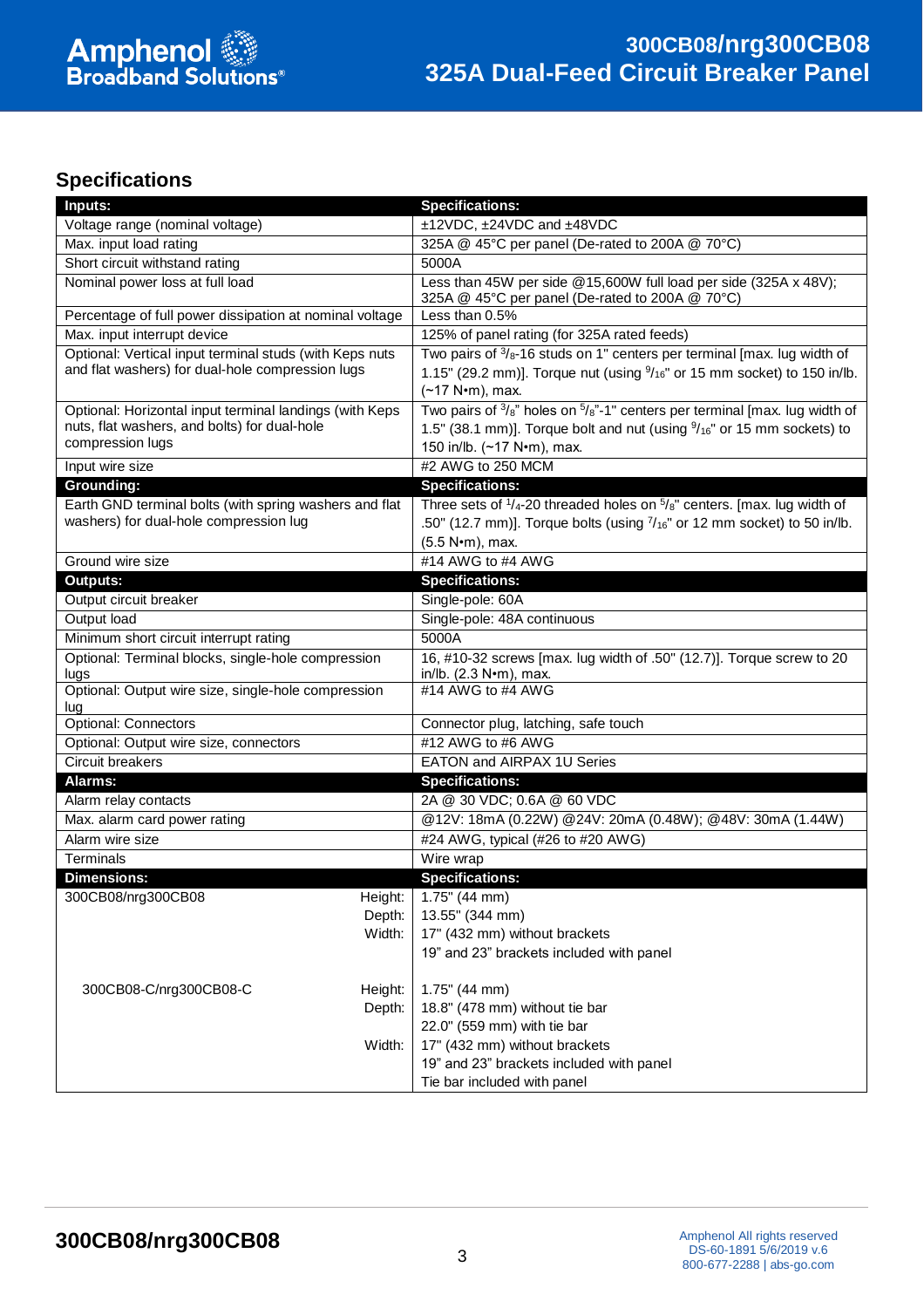

#### **Specifications**

| Inputs:                                                                                                                     | <b>Specifications:</b>                                                                                                                                                                                              |  |
|-----------------------------------------------------------------------------------------------------------------------------|---------------------------------------------------------------------------------------------------------------------------------------------------------------------------------------------------------------------|--|
| Voltage range (nominal voltage)                                                                                             | ±12VDC, ±24VDC and ±48VDC                                                                                                                                                                                           |  |
| Max. input load rating                                                                                                      | 325A @ 45°C per panel (De-rated to 200A @ 70°C)                                                                                                                                                                     |  |
| Short circuit withstand rating                                                                                              | 5000A                                                                                                                                                                                                               |  |
| Nominal power loss at full load                                                                                             | Less than 45W per side @15,600W full load per side (325A x 48V);<br>325A @ 45°C per panel (De-rated to 200A @ 70°C)                                                                                                 |  |
| Percentage of full power dissipation at nominal voltage                                                                     | Less than 0.5%                                                                                                                                                                                                      |  |
| Max. input interrupt device                                                                                                 | 125% of panel rating (for 325A rated feeds)                                                                                                                                                                         |  |
| Optional: Vertical input terminal studs (with Keps nuts<br>and flat washers) for dual-hole compression lugs                 | Two pairs of $\frac{3}{8}$ -16 studs on 1" centers per terminal [max. lug width of<br>1.15" (29.2 mm)]. Torque nut (using $\frac{9}{16}$ " or 15 mm socket) to 150 in/lb.<br>(~17 N•m), max.                        |  |
| Optional: Horizontal input terminal landings (with Keps<br>nuts, flat washers, and bolts) for dual-hole<br>compression lugs | Two pairs of $\frac{3}{8}$ " holes on $\frac{5}{8}$ "-1" centers per terminal [max. lug width of<br>1.5" (38.1 mm)]. Torque bolt and nut (using $\frac{9}{16}$ " or 15 mm sockets) to<br>150 in/lb. (~17 N•m), max. |  |
| Input wire size                                                                                                             | #2 AWG to 250 MCM                                                                                                                                                                                                   |  |
| <b>Grounding:</b>                                                                                                           | <b>Specifications:</b>                                                                                                                                                                                              |  |
| Earth GND terminal bolts (with spring washers and flat<br>washers) for dual-hole compression lug                            | Three sets of $1/4$ -20 threaded holes on $5/8$ " centers. [max. lug width of<br>.50" (12.7 mm)]. Torque bolts (using $7/16$ " or 12 mm socket) to 50 in/lb.<br>(5.5 N•m), max.                                     |  |
| Ground wire size                                                                                                            | #14 AWG to #4 AWG                                                                                                                                                                                                   |  |
| <b>Outputs:</b>                                                                                                             | <b>Specifications:</b>                                                                                                                                                                                              |  |
| Output circuit breaker                                                                                                      | Single-pole: 60A                                                                                                                                                                                                    |  |
| Output load                                                                                                                 | Single-pole: 48A continuous                                                                                                                                                                                         |  |
| Minimum short circuit interrupt rating                                                                                      | 5000A                                                                                                                                                                                                               |  |
| Optional: Terminal blocks, single-hole compression<br>lugs                                                                  | 16, #10-32 screws [max. lug width of .50" (12.7)]. Torque screw to 20<br>in/lb. (2.3 N•m), max.                                                                                                                     |  |
| Optional: Output wire size, single-hole compression<br>lug                                                                  | #14 AWG to #4 AWG                                                                                                                                                                                                   |  |
| <b>Optional: Connectors</b>                                                                                                 | Connector plug, latching, safe touch                                                                                                                                                                                |  |
| Optional: Output wire size, connectors                                                                                      | #12 AWG to #6 AWG                                                                                                                                                                                                   |  |
| <b>Circuit breakers</b><br>EATON and AIRPAX 1U Series                                                                       |                                                                                                                                                                                                                     |  |
| Alarms:                                                                                                                     | <b>Specifications:</b>                                                                                                                                                                                              |  |
| Alarm relay contacts                                                                                                        | 2A @ 30 VDC; 0.6A @ 60 VDC                                                                                                                                                                                          |  |
| Max. alarm card power rating                                                                                                | @12V: 18mA (0.22W) @24V: 20mA (0.48W); @48V: 30mA (1.44W)                                                                                                                                                           |  |
| Alarm wire size                                                                                                             | #24 AWG, typical (#26 to #20 AWG)                                                                                                                                                                                   |  |
| Terminals                                                                                                                   | Wire wrap                                                                                                                                                                                                           |  |
| <b>Dimensions:</b>                                                                                                          | <b>Specifications:</b>                                                                                                                                                                                              |  |
| 300CB08/nrg300CB08<br>Height:                                                                                               | $1.75^{\circ}$ (44 mm)                                                                                                                                                                                              |  |
| Depth:                                                                                                                      | 13.55" (344 mm)                                                                                                                                                                                                     |  |
| Width:                                                                                                                      | 17" (432 mm) without brackets                                                                                                                                                                                       |  |
|                                                                                                                             | 19" and 23" brackets included with panel                                                                                                                                                                            |  |
| 300CB08-C/nrg300CB08-C<br>Height:                                                                                           | $1.75$ " (44 mm)                                                                                                                                                                                                    |  |
| Depth:                                                                                                                      | 18.8" (478 mm) without tie bar                                                                                                                                                                                      |  |
|                                                                                                                             | 22.0" (559 mm) with tie bar                                                                                                                                                                                         |  |
| Width:                                                                                                                      | 17" (432 mm) without brackets                                                                                                                                                                                       |  |
|                                                                                                                             | 19" and 23" brackets included with panel                                                                                                                                                                            |  |
|                                                                                                                             | Tie bar included with panel                                                                                                                                                                                         |  |